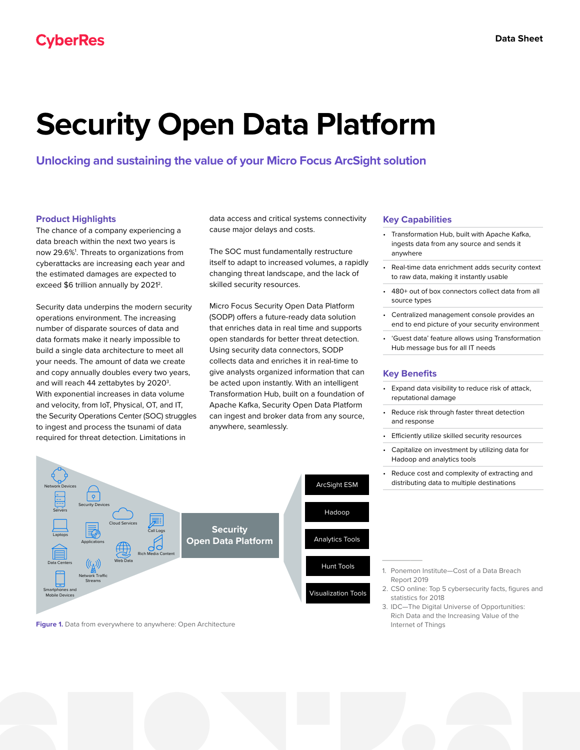# **Security Open Data Platform**

**Unlocking and sustaining the value of your Micro Focus ArcSight solution**

## **Product Highlights**

The chance of a company experiencing a data breach within the next two years is now 29.6%<sup>1</sup>. Threats to organizations from cyberattacks are increasing each year and the estimated damages are expected to exceed \$6 trillion annually by 2021<sup>2</sup>.

Security data underpins the modern security operations environment. The increasing number of disparate sources of data and data formats make it nearly impossible to build a single data architecture to meet all your needs. The amount of data we create and copy annually doubles every two years, and will reach 44 zettabytes by 2020<sup>3</sup>. With exponential increases in data volume and velocity, from IoT, Physical, OT, and IT, the Security Operations Center (SOC) struggles to ingest and process the tsunami of data required for threat detection. Limitations in

data access and critical systems connectivity cause major delays and costs.

The SOC must fundamentally restructure itself to adapt to increased volumes, a rapidly changing threat landscape, and the lack of skilled security resources.

Micro Focus Security Open Data Platform (SODP) offers a future-ready data solution that enriches data in real time and supports open standards for better threat detection. Using security data connectors, SODP collects data and enriches it in real-time to give analysts organized information that can be acted upon instantly. With an intelligent Transformation Hub, built on a foundation of Apache Kafka, Security Open Data Platform can ingest and broker data from any source, anywhere, seamlessly.



**Figure 1.** Data from everywhere to anywhere: Open Architecture

#### **Key Capabilities**

- Transformation Hub, built with Apache Kafka, ingests data from any source and sends it anywhere
- Real-time data enrichment adds security context to raw data, making it instantly usable
- 480+ out of box connectors collect data from all source types
- Centralized management console provides an end to end picture of your security environment
- 'Guest data' feature allows using Transformation Hub message bus for all IT needs

### **Key Benefits**

 $\overline{\phantom{a}}$ 

- Expand data visibility to reduce risk of attack, reputational damage
- Reduce risk through faster threat detection and response
- Efficiently utilize skilled security resources
- Capitalize on investment by utilizing data for Hadoop and analytics tools
- Reduce cost and complexity of extracting and distributing data to multiple destinations



- 2.CSO online: Top 5 cybersecurity facts, figures and statistics for 2018
- 3.IDC—The Digital Universe of Opportunities: Rich Data and the Increasing Value of the Internet of Things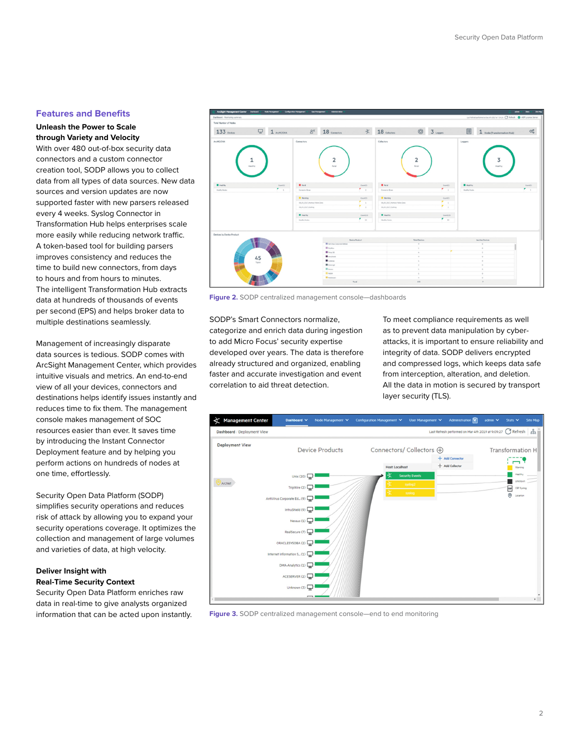#### **Features and Benefits**

### **Unleash the Power to Scale through Variety and Velocity**

With over 480 out-of-box security data connectors and a custom connector creation tool, SODP allows you to collect data from all types of data sources. New data sources and version updates are now supported faster with new parsers released every 4 weeks. Syslog Connector in Transformation Hub helps enterprises scale more easily while reducing network traffic. A token-based tool for building parsers improves consistency and reduces the time to build new connectors, from days to hours and from hours to minutes. The intelligent Transformation Hub extracts data at hundreds of thousands of events per second (EPS) and helps broker data to multiple destinations seamlessly.

Management of increasingly disparate data sources is tedious. SODP comes with ArcSight Management Center, which provides intuitive visuals and metrics. An end-to-end view of all your devices, connectors and destinations helps identify issues instantly and reduces time to fix them. The management console makes management of SOC resources easier than ever. It saves time by introducing the Instant Connector Deployment feature and by helping you perform actions on hundreds of nodes at one time, effortlessly.

Security Open Data Platform (SODP) simplifies security operations and reduces risk of attack by allowing you to expand your security operations coverage. It optimizes the collection and management of large volumes and varieties of data, at high velocity.

## **Deliver Insight with Real-Time Security Context**

Security Open Data Platform enriches raw data in real-time to give analysts organized information that can be acted upon instantly.



**Figure 2.** SODP centralized management console—dashboards

SODP's Smart Connectors normalize, categorize and enrich data during ingestion to add Micro Focus' security expertise developed over years. The data is therefore already structured and organized, enabling faster and accurate investigation and event correlation to aid threat detection.

To meet compliance requirements as well as to prevent data manipulation by cyberattacks, it is important to ensure reliability and integrity of data. SODP delivers encrypted and compressed logs, which keeps data safe from interception, alteration, and deletion. All the data in motion is secured by transport layer security (TLS).



**Figure 3.** SODP centralized management console—end to end monitoring